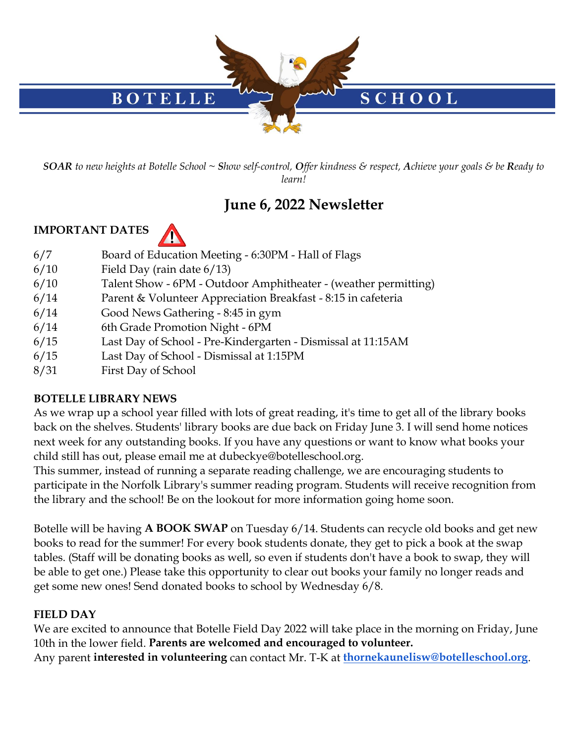

*SOAR to new heights at Botelle School ~ Show self-control, Offer kindness & respect, Achieve your goals & be Ready to learn!*

# **June 6, 2022 Newsletter**

#### **IMPORTANT DATES**



- 6/7 Board of Education Meeting 6:30PM Hall of Flags
- 6/10 Field Day (rain date 6/13)
- 6/10 Talent Show 6PM Outdoor Amphitheater (weather permitting)
- 6/14 Parent & Volunteer Appreciation Breakfast 8:15 in cafeteria
- 6/14 Good News Gathering 8:45 in gym
- 6/14 6th Grade Promotion Night 6PM
- 6/15 Last Day of School Pre-Kindergarten Dismissal at 11:15AM
- 6/15 Last Day of School Dismissal at 1:15PM
- 8/31 First Day of School

#### **BOTELLE LIBRARY NEWS**

As we wrap up a school year filled with lots of great reading, it's time to get all of the library books back on the shelves. Students' library books are due back on Friday June 3. I will send home notices next week for any outstanding books. If you have any questions or want to know what books your child still has out, please email me at dubeckye@botelleschool.org.

This summer, instead of running a separate reading challenge, we are encouraging students to participate in the Norfolk Library's summer reading program. Students will receive recognition from the library and the school! Be on the lookout for more information going home soon.

Botelle will be having **A BOOK SWAP** on Tuesday 6/14. Students can recycle old books and get new books to read for the summer! For every book students donate, they get to pick a book at the swap tables. (Staff will be donating books as well, so even if students don't have a book to swap, they will be able to get one.) Please take this opportunity to clear out books your family no longer reads and get some new ones! Send donated books to school by Wednesday 6/8.

## **FIELD DAY**

We are excited to announce that Botelle Field Day 2022 will take place in the morning on Friday, June 10th in the lower field. **Parents are welcomed and encouraged to volunteer.**  Any parent **interested in volunteering** can contact Mr. T-K at **[thornekaunelisw@botelleschool.org](mailto:thornekaunelisw@botelleschool.org)**.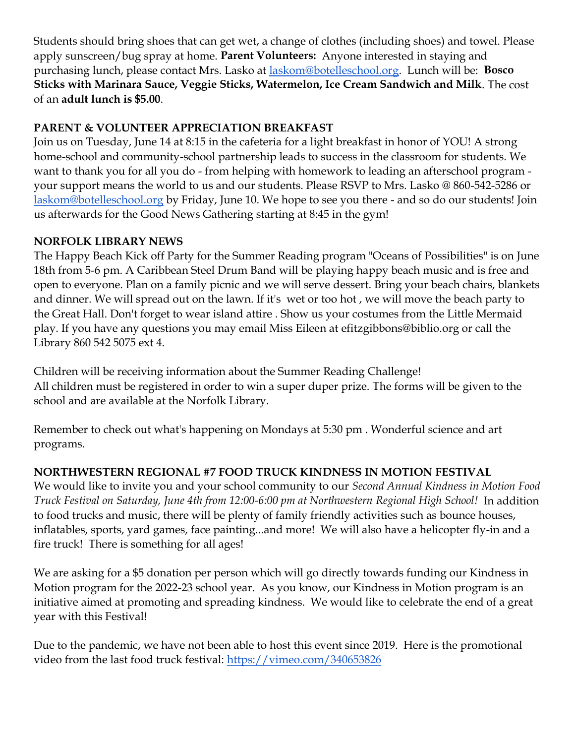Students should bring shoes that can get wet, a change of clothes (including shoes) and towel. Please apply sunscreen/bug spray at home. **Parent Volunteers:** Anyone interested in staying and purchasing lunch, please contact Mrs. Lasko at [laskom@botelleschool.org.](mailto:laskom@botelleschool.org) Lunch will be: **Bosco Sticks with Marinara Sauce, Veggie Sticks, Watermelon, Ice Cream Sandwich and Milk**. The cost of an **adult lunch is \$5.00**.

### **PARENT & VOLUNTEER APPRECIATION BREAKFAST**

Join us on Tuesday, June 14 at 8:15 in the cafeteria for a light breakfast in honor of YOU! A strong home-school and community-school partnership leads to success in the classroom for students. We want to thank you for all you do - from helping with homework to leading an afterschool program your support means the world to us and our students. Please RSVP to Mrs. Lasko @ 860-542-5286 or [laskom@botelleschool.org](mailto:laskom@botelleschool.org) by Friday, June 10. We hope to see you there - and so do our students! Join us afterwards for the Good News Gathering starting at 8:45 in the gym!

#### **NORFOLK LIBRARY NEWS**

The Happy Beach Kick off Party for the Summer Reading program "Oceans of Possibilities" is on June 18th from 5-6 pm. A Caribbean Steel Drum Band will be playing happy beach music and is free and open to everyone. Plan on a family picnic and we will serve dessert. Bring your beach chairs, blankets and dinner. We will spread out on the lawn. If it's wet or too hot , we will move the beach party to the Great Hall. Don't forget to wear island attire . Show us your costumes from the Little Mermaid play. If you have any questions you may email Miss Eileen at efitzgibbons@biblio.org or call the Library 860 542 5075 ext 4.

Children will be receiving information about the Summer Reading Challenge! All children must be registered in order to win a super duper prize. The forms will be given to the school and are available at the Norfolk Library.

Remember to check out what's happening on Mondays at 5:30 pm . Wonderful science and art programs.

#### **NORTHWESTERN REGIONAL #7 FOOD TRUCK KINDNESS IN MOTION FESTIVAL**

We would like to invite you and your school community to our *Second Annual Kindness in Motion Food Truck Festival on Saturday, June 4th from 12:00-6:00 pm at Northwestern Regional High School!* In addition to food trucks and music, there will be plenty of family friendly activities such as bounce houses, inflatables, sports, yard games, face painting...and more! We will also have a helicopter fly-in and a fire truck! There is something for all ages!

We are asking for a \$5 donation per person which will go directly towards funding our Kindness in Motion program for the 2022-23 school year. As you know, our Kindness in Motion program is an initiative aimed at promoting and spreading kindness. We would like to celebrate the end of a great year with this Festival!

Due to the pandemic, we have not been able to host this event since 2019. Here is the promotional video from the last food truck festival:<https://vimeo.com/340653826>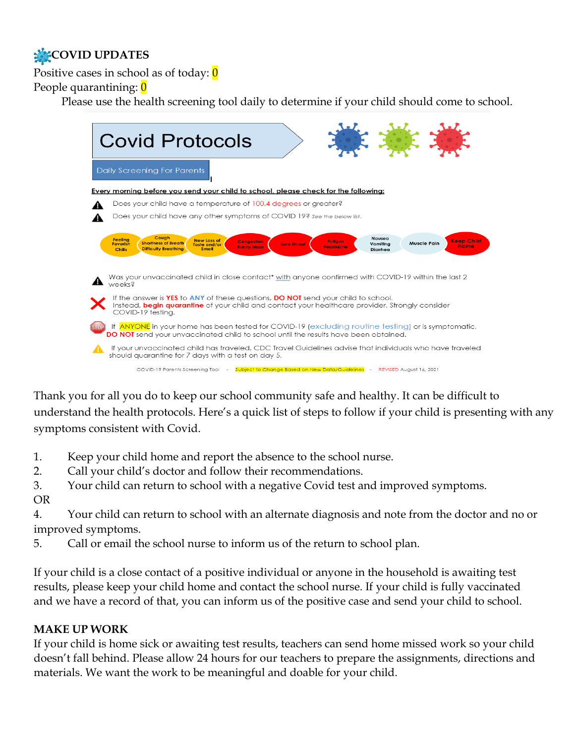# **COVID UPDATES**

Positive cases in school as of today:  $\theta$ 

People quarantining: 0

Please use the health screening tool daily to determine if your child should come to school.

| <b>Covid Protocols</b>                                                                                                                                                                                                                                                                                                                                                                        |
|-----------------------------------------------------------------------------------------------------------------------------------------------------------------------------------------------------------------------------------------------------------------------------------------------------------------------------------------------------------------------------------------------|
| Daily Screening For Parents                                                                                                                                                                                                                                                                                                                                                                   |
| <b>Every morning before you send your child to school, please check for the following:</b>                                                                                                                                                                                                                                                                                                    |
| Does your child have a temperature of 100.4 degrees or greater?                                                                                                                                                                                                                                                                                                                               |
|                                                                                                                                                                                                                                                                                                                                                                                               |
| Does your child have any other symptoms of COVID 19? See the below list.                                                                                                                                                                                                                                                                                                                      |
|                                                                                                                                                                                                                                                                                                                                                                                               |
| Cough<br><b>Nausea</b><br><b>Feeling</b><br><b>New Loss of</b><br><b>Keep Child</b><br><b>Congestion</b><br><b>Fatigue</b><br><b>Muscle Pain</b><br><b>Shortness of Breath</b><br>Vomitina<br><b>Feverish</b><br><b>Sore Throat</b><br>Taste and/or<br><b>Home</b><br><b>Runny Nose</b><br><b>Headache</b><br><b>Difficulty Breathing</b><br><b>Smell</b><br><b>Chills</b><br><b>Diarrhea</b> |
| Was your unvaccinated child in close contact* with anyone confirmed with COVID-19 within the last 2<br>weeks <sub>8</sub>                                                                                                                                                                                                                                                                     |
| If the answer is YES to ANY of these questions, DO NOT send your child to school.<br>Instead, <b>begin quarantine</b> of your child and contact your healthcare provider. Strongly consider<br>COVID-19 testina.                                                                                                                                                                              |
| If ANYONE in your home has been tested for COVID-19 (excluding routine testing) or is symptomatic,<br>DO NOT send your unvaccinated child to school until the results have been obtained.                                                                                                                                                                                                     |
| If your unvaccinated child has traveled, CDC Travel Guidelines advise that individuals who have traveled<br>should quarantine for 7 days with a test on day 5.                                                                                                                                                                                                                                |
| Cultivation Channel Based on New Data (Outsidelines<br>DEVICED Arraive 17, 0001<br>COVID 10 Barcela Carpentine Tool                                                                                                                                                                                                                                                                           |

Thank you for all you do to keep our school community safe and healthy. It can be difficult to understand the health protocols. Here's a quick list of steps to follow if your child is presenting with any symptoms consistent with Covid.

- 1. Keep your child home and report the absence to the school nurse.
- 2. Call your child's doctor and follow their recommendations.
- 3. Your child can return to school with a negative Covid test and improved symptoms. OR

4. Your child can return to school with an alternate diagnosis and note from the doctor and no or improved symptoms.

5. Call or email the school nurse to inform us of the return to school plan.

If your child is a close contact of a positive individual or anyone in the household is awaiting test results, please keep your child home and contact the school nurse. If your child is fully vaccinated and we have a record of that, you can inform us of the positive case and send your child to school.

#### **MAKE UP WORK**

If your child is home sick or awaiting test results, teachers can send home missed work so your child doesn't fall behind. Please allow 24 hours for our teachers to prepare the assignments, directions and materials. We want the work to be meaningful and doable for your child.